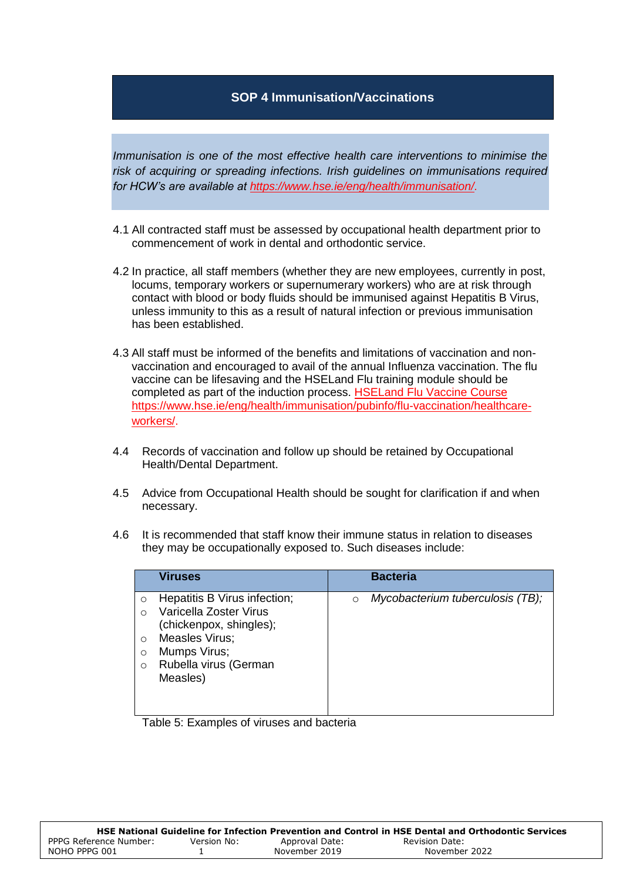## **SOP 4 Immunisation/Vaccinations**

*Immunisation is one of the most effective health care interventions to minimise the risk of acquiring or spreading infections. Irish guidelines on immunisations required for HCW's are available at [https://www.hse.ie/eng/health/immunisation/.](https://www.hse.ie/eng/health/immunisation/)* 

- 4.1 All contracted staff must be assessed by occupational health department prior to commencement of work in dental and orthodontic service.
- 4.2 In practice, all staff members (whether they are new employees, currently in post, locums, temporary workers or supernumerary workers) who are at risk through contact with blood or body fluids should be immunised against Hepatitis B Virus, unless immunity to this as a result of natural infection or previous immunisation has been established.
- 4.3 All staff must be informed of the benefits and limitations of vaccination and nonvaccination and encouraged to avail of the annual Influenza vaccination. The flu vaccine can be lifesaving and the HSELand Flu training module should be completed as part of the induction process. HSELand Flu [Vaccine Course](https://www.hseland.ie/ekp/servlet/ekp?PX=N&TEACHREVIEW=N&CID=EKP000000150&TX=FORMAT1&LANGUAGE_TAG=0&DECORATEPAGE=N) [https://www.hse.ie/eng/health/immunisation/pubinfo/flu-vaccination/healthcare](https://www.hse.ie/eng/health/immunisation/pubinfo/flu-vaccination/healthcare-workers/)[workers/.](https://www.hse.ie/eng/health/immunisation/pubinfo/flu-vaccination/healthcare-workers/)
- 4.4 Records of vaccination and follow up should be retained by Occupational Health/Dental Department.
- 4.5 Advice from Occupational Health should be sought for clarification if and when necessary.
- 4.6 It is recommended that staff know their immune status in relation to diseases they may be occupationally exposed to. Such diseases include:

|                                                | <b>Viruses</b>                                                                                                                                           |         | <b>Bacteria</b>                  |
|------------------------------------------------|----------------------------------------------------------------------------------------------------------------------------------------------------------|---------|----------------------------------|
| $\circ$<br>∩<br>$\Omega$<br>$\circ$<br>$\circ$ | Hepatitis B Virus infection;<br>Varicella Zoster Virus<br>(chickenpox, shingles);<br>Measles Virus;<br>Mumps Virus;<br>Rubella virus (German<br>Measles) | $\circ$ | Mycobacterium tuberculosis (TB); |
|                                                |                                                                                                                                                          |         |                                  |

Table 5: Examples of viruses and bacteria